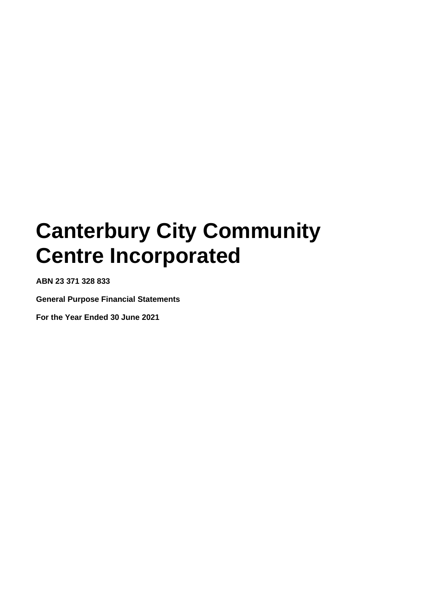**ABN 23 371 328 833**

**General Purpose Financial Statements**

**For the Year Ended 30 June 2021**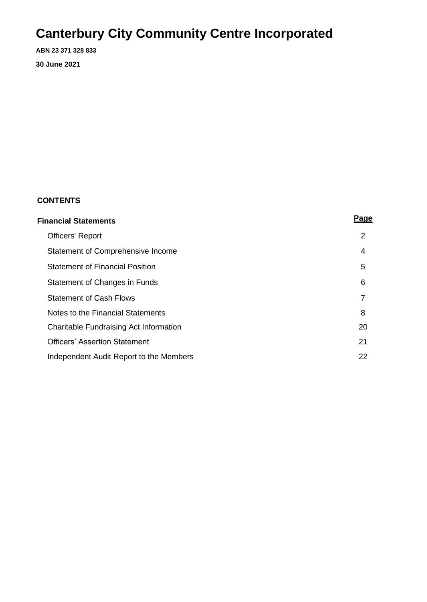**ABN 23 371 328 833**

**30 June 2021**

### **CONTENTS**

| <b>Financial Statements</b>             |                |  |
|-----------------------------------------|----------------|--|
| <b>Officers' Report</b>                 | $\overline{2}$ |  |
| Statement of Comprehensive Income       | 4              |  |
| <b>Statement of Financial Position</b>  | 5              |  |
| Statement of Changes in Funds           | 6              |  |
| <b>Statement of Cash Flows</b>          | 7              |  |
| Notes to the Financial Statements       | 8              |  |
| Charitable Fundraising Act Information  | 20             |  |
| <b>Officers' Assertion Statement</b>    | 21             |  |
| Independent Audit Report to the Members | 22             |  |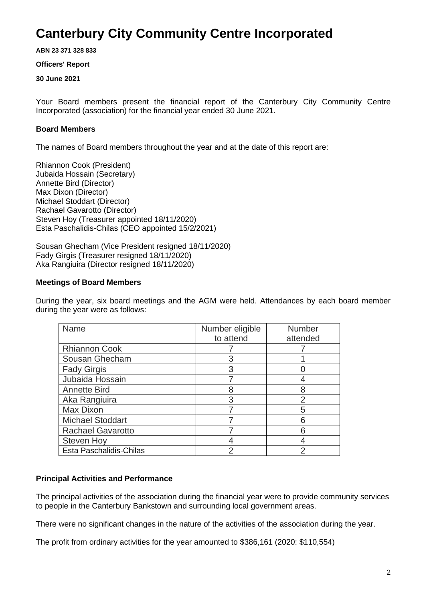**ABN 23 371 328 833**

#### **Officers' Report**

#### **30 June 2021**

Your Board members present the financial report of the Canterbury City Community Centre Incorporated (association) for the financial year ended 30 June 2021.

#### **Board Members**

The names of Board members throughout the year and at the date of this report are:

Rhiannon Cook (President) Jubaida Hossain (Secretary) Annette Bird (Director) Max Dixon (Director) Michael Stoddart (Director) Rachael Gavarotto (Director) Steven Hoy (Treasurer appointed 18/11/2020) Esta Paschalidis-Chilas (CEO appointed 15/2/2021)

Sousan Ghecham (Vice President resigned 18/11/2020) Fady Girgis (Treasurer resigned 18/11/2020) Aka Rangiuira (Director resigned 18/11/2020)

#### **Meetings of Board Members**

During the year, six board meetings and the AGM were held. Attendances by each board member during the year were as follows:

| Name                     | Number eligible<br>to attend | <b>Number</b><br>attended |
|--------------------------|------------------------------|---------------------------|
| <b>Rhiannon Cook</b>     |                              |                           |
| Sousan Ghecham           | 3                            |                           |
| <b>Fady Girgis</b>       | 3                            |                           |
| Jubaida Hossain          |                              |                           |
| <b>Annette Bird</b>      | 8                            | 8                         |
| Aka Rangiuira            | 3                            | $\mathcal{P}$             |
| Max Dixon                |                              | 5                         |
| <b>Michael Stoddart</b>  |                              | 6                         |
| <b>Rachael Gavarotto</b> |                              | 6                         |
| <b>Steven Hoy</b>        |                              |                           |
| Esta Paschalidis-Chilas  |                              |                           |

#### **Principal Activities and Performance**

The principal activities of the association during the financial year were to provide community services to people in the Canterbury Bankstown and surrounding local government areas.

There were no significant changes in the nature of the activities of the association during the year.

The profit from ordinary activities for the year amounted to \$386,161 (2020: \$110,554)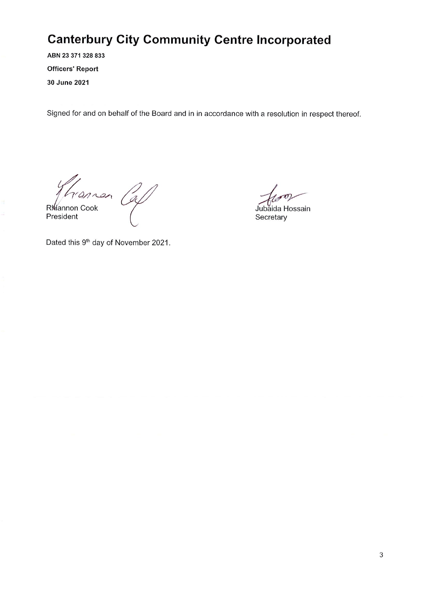ABN 23 371 328 833 **Officers' Report** 30 June 2021

Signed for and on behalf of the Board and in in accordance with a resolution in respect thereof.

Rhiannon Cal

President

Jubaida Hossain Secretary

Dated this 9<sup>th</sup> day of November 2021.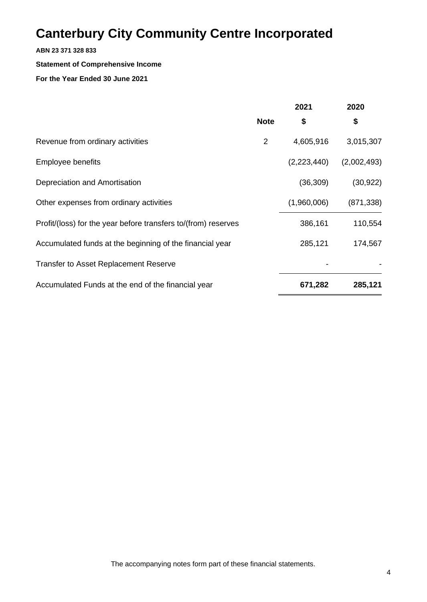#### **ABN 23 371 328 833**

#### **Statement of Comprehensive Income**

#### **For the Year Ended 30 June 2021**

|                                                                | 2021           |             | 2020        |  |
|----------------------------------------------------------------|----------------|-------------|-------------|--|
|                                                                | <b>Note</b>    | \$          | \$          |  |
| Revenue from ordinary activities                               | $\overline{2}$ | 4,605,916   | 3,015,307   |  |
| Employee benefits                                              |                | (2,223,440) | (2,002,493) |  |
| Depreciation and Amortisation                                  |                | (36, 309)   | (30, 922)   |  |
| Other expenses from ordinary activities                        |                | (1,960,006) | (871, 338)  |  |
| Profit/(loss) for the year before transfers to/(from) reserves |                | 386,161     | 110,554     |  |
| Accumulated funds at the beginning of the financial year       |                | 285,121     | 174,567     |  |
| <b>Transfer to Asset Replacement Reserve</b>                   |                |             |             |  |
| Accumulated Funds at the end of the financial year             |                | 671,282     | 285,121     |  |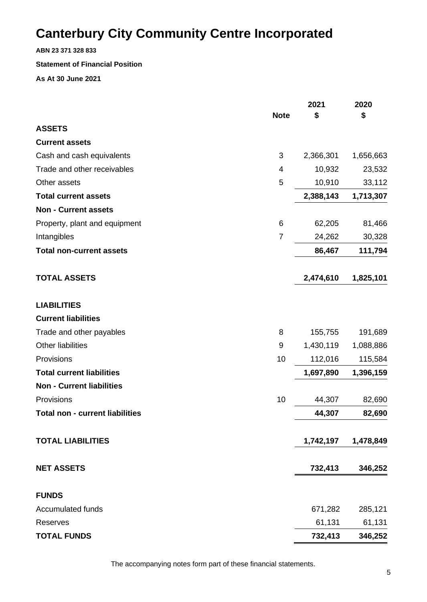**ABN 23 371 328 833**

#### **Statement of Financial Position**

**As At 30 June 2021**

|                                        |                | 2021      | 2020      |
|----------------------------------------|----------------|-----------|-----------|
|                                        | <b>Note</b>    | \$        | \$        |
| <b>ASSETS</b>                          |                |           |           |
| <b>Current assets</b>                  |                |           |           |
| Cash and cash equivalents              | 3              | 2,366,301 | 1,656,663 |
| Trade and other receivables            | 4              | 10,932    | 23,532    |
| Other assets                           | 5              | 10,910    | 33,112    |
| <b>Total current assets</b>            |                | 2,388,143 | 1,713,307 |
| <b>Non - Current assets</b>            |                |           |           |
| Property, plant and equipment          | 6              | 62,205    | 81,466    |
| Intangibles                            | $\overline{7}$ | 24,262    | 30,328    |
| <b>Total non-current assets</b>        |                | 86,467    | 111,794   |
| <b>TOTAL ASSETS</b>                    |                | 2,474,610 | 1,825,101 |
| <b>LIABILITIES</b>                     |                |           |           |
| <b>Current liabilities</b>             |                |           |           |
| Trade and other payables               | 8              | 155,755   | 191,689   |
| <b>Other liabilities</b>               | 9              | 1,430,119 | 1,088,886 |
| Provisions                             | 10             | 112,016   | 115,584   |
| <b>Total current liabilities</b>       |                | 1,697,890 | 1,396,159 |
| <b>Non - Current liabilities</b>       |                |           |           |
| Provisions                             | 10             | 44,307    | 82,690    |
| <b>Total non - current liabilities</b> |                | 44,307    | 82,690    |
| <b>TOTAL LIABILITIES</b>               |                | 1,742,197 | 1,478,849 |
| <b>NET ASSETS</b>                      |                | 732,413   | 346,252   |
| <b>FUNDS</b>                           |                |           |           |
| <b>Accumulated funds</b>               |                | 671,282   | 285,121   |
| Reserves                               |                | 61,131    | 61,131    |
| <b>TOTAL FUNDS</b>                     |                | 732,413   | 346,252   |

The accompanying notes form part of these financial statements.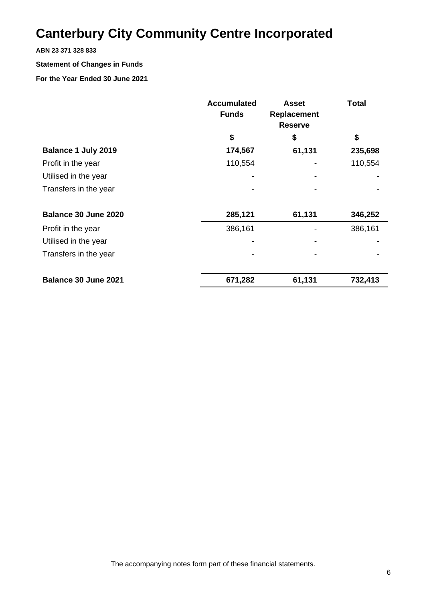#### **ABN 23 371 328 833**

### **Statement of Changes in Funds**

#### **For the Year Ended 30 June 2021**

|                       | <b>Accumulated</b><br><b>Funds</b> | <b>Asset</b><br>Replacement<br><b>Reserve</b> | <b>Total</b> |
|-----------------------|------------------------------------|-----------------------------------------------|--------------|
|                       | \$                                 | \$                                            | \$           |
| Balance 1 July 2019   | 174,567                            | 61,131                                        | 235,698      |
| Profit in the year    | 110,554                            |                                               | 110,554      |
| Utilised in the year  |                                    |                                               |              |
| Transfers in the year |                                    |                                               |              |
|                       |                                    |                                               |              |
| Balance 30 June 2020  | 285,121                            | 61,131                                        | 346,252      |
| Profit in the year    | 386,161                            |                                               | 386,161      |
| Utilised in the year  |                                    |                                               |              |
| Transfers in the year |                                    |                                               |              |
|                       |                                    |                                               |              |
| Balance 30 June 2021  | 671,282                            | 61,131                                        | 732,413      |

The accompanying notes form part of these financial statements.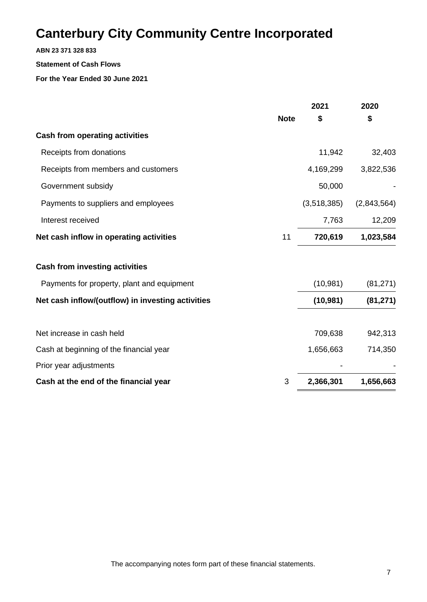#### **ABN 23 371 328 833**

#### **Statement of Cash Flows**

**For the Year Ended 30 June 2021**

|                                                   |             | 2021        | 2020        |
|---------------------------------------------------|-------------|-------------|-------------|
|                                                   | <b>Note</b> | \$          | \$          |
| <b>Cash from operating activities</b>             |             |             |             |
| Receipts from donations                           |             | 11,942      | 32,403      |
| Receipts from members and customers               |             | 4,169,299   | 3,822,536   |
| Government subsidy                                |             | 50,000      |             |
| Payments to suppliers and employees               |             | (3,518,385) | (2,843,564) |
| Interest received                                 |             | 7,763       | 12,209      |
| Net cash inflow in operating activities           | 11          | 720,619     | 1,023,584   |
| <b>Cash from investing activities</b>             |             |             |             |
| Payments for property, plant and equipment        |             | (10, 981)   | (81, 271)   |
| Net cash inflow/(outflow) in investing activities |             | (10, 981)   | (81, 271)   |
| Net increase in cash held                         |             | 709,638     | 942,313     |
| Cash at beginning of the financial year           |             | 1,656,663   | 714,350     |
| Prior year adjustments                            |             |             |             |
| Cash at the end of the financial year             | 3           | 2,366,301   | 1,656,663   |
|                                                   |             |             |             |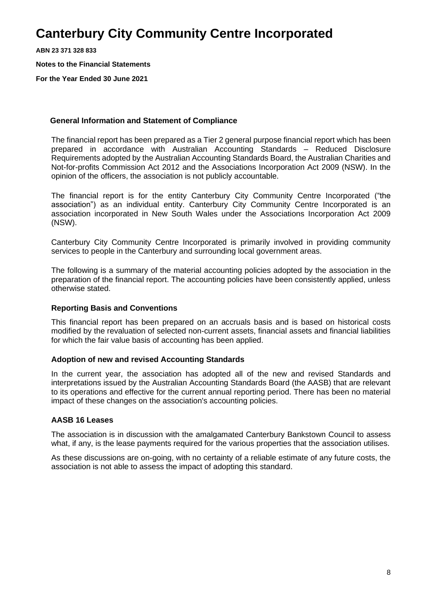**ABN 23 371 328 833**

**Notes to the Financial Statements**

**For the Year Ended 30 June 2021**

#### **General Information and Statement of Compliance**

The financial report has been prepared as a Tier 2 general purpose financial report which has been prepared in accordance with Australian Accounting Standards – Reduced Disclosure Requirements adopted by the Australian Accounting Standards Board, the Australian Charities and Not-for-profits Commission Act 2012 and the Associations Incorporation Act 2009 (NSW). In the opinion of the officers, the association is not publicly accountable.

The financial report is for the entity Canterbury City Community Centre Incorporated ("the association") as an individual entity. Canterbury City Community Centre Incorporated is an association incorporated in New South Wales under the Associations Incorporation Act 2009 (NSW).

Canterbury City Community Centre Incorporated is primarily involved in providing community services to people in the Canterbury and surrounding local government areas.

The following is a summary of the material accounting policies adopted by the association in the preparation of the financial report. The accounting policies have been consistently applied, unless otherwise stated.

#### **Reporting Basis and Conventions**

This financial report has been prepared on an accruals basis and is based on historical costs modified by the revaluation of selected non-current assets, financial assets and financial liabilities for which the fair value basis of accounting has been applied.

#### **Adoption of new and revised Accounting Standards**

In the current year, the association has adopted all of the new and revised Standards and interpretations issued by the Australian Accounting Standards Board (the AASB) that are relevant to its operations and effective for the current annual reporting period. There has been no material impact of these changes on the association's accounting policies.

#### **AASB 16 Leases**

The association is in discussion with the amalgamated Canterbury Bankstown Council to assess what, if any, is the lease payments required for the various properties that the association utilises.

As these discussions are on-going, with no certainty of a reliable estimate of any future costs, the association is not able to assess the impact of adopting this standard.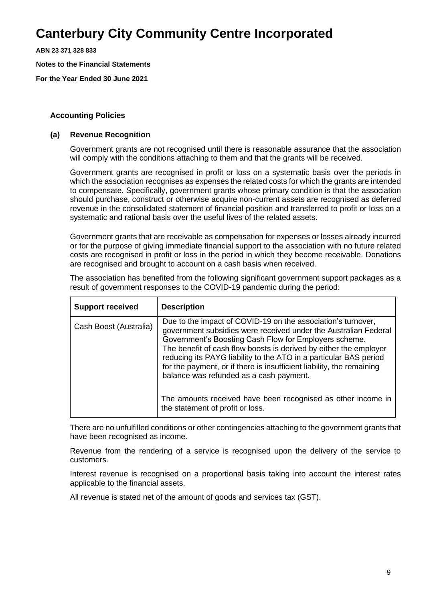**ABN 23 371 328 833**

**Notes to the Financial Statements**

**For the Year Ended 30 June 2021**

#### **Accounting Policies**

#### **(a) Revenue Recognition**

Government grants are not recognised until there is reasonable assurance that the association will comply with the conditions attaching to them and that the grants will be received.

Government grants are recognised in profit or loss on a systematic basis over the periods in which the association recognises as expenses the related costs for which the grants are intended to compensate. Specifically, government grants whose primary condition is that the association should purchase, construct or otherwise acquire non-current assets are recognised as deferred revenue in the consolidated statement of financial position and transferred to profit or loss on a systematic and rational basis over the useful lives of the related assets.

Government grants that are receivable as compensation for expenses or losses already incurred or for the purpose of giving immediate financial support to the association with no future related costs are recognised in profit or loss in the period in which they become receivable. Donations are recognised and brought to account on a cash basis when received.

The association has benefited from the following significant government support packages as a result of government responses to the COVID-19 pandemic during the period:

| <b>Support received</b> | <b>Description</b>                                                                                                                                                                                                                                                                                                                                                                                                                                     |
|-------------------------|--------------------------------------------------------------------------------------------------------------------------------------------------------------------------------------------------------------------------------------------------------------------------------------------------------------------------------------------------------------------------------------------------------------------------------------------------------|
| Cash Boost (Australia)  | Due to the impact of COVID-19 on the association's turnover,<br>government subsidies were received under the Australian Federal<br>Government's Boosting Cash Flow for Employers scheme.<br>The benefit of cash flow boosts is derived by either the employer<br>reducing its PAYG liability to the ATO in a particular BAS period<br>for the payment, or if there is insufficient liability, the remaining<br>balance was refunded as a cash payment. |
|                         | The amounts received have been recognised as other income in<br>the statement of profit or loss.                                                                                                                                                                                                                                                                                                                                                       |

There are no unfulfilled conditions or other contingencies attaching to the government grants that have been recognised as income.

Revenue from the rendering of a service is recognised upon the delivery of the service to customers.

Interest revenue is recognised on a proportional basis taking into account the interest rates applicable to the financial assets.

All revenue is stated net of the amount of goods and services tax (GST).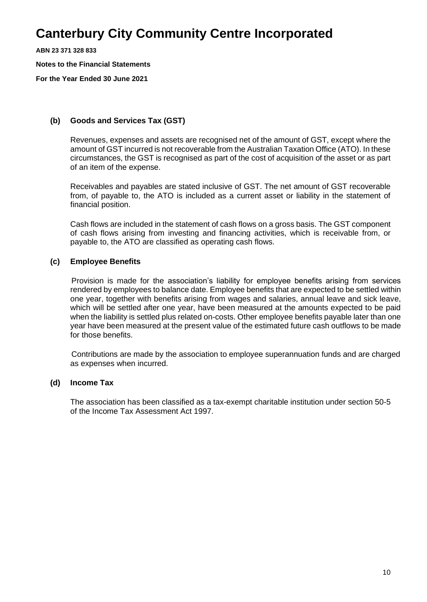**ABN 23 371 328 833**

**Notes to the Financial Statements**

**For the Year Ended 30 June 2021**

#### **(b) Goods and Services Tax (GST)**

Revenues, expenses and assets are recognised net of the amount of GST, except where the amount of GST incurred is not recoverable from the Australian Taxation Office (ATO). In these circumstances, the GST is recognised as part of the cost of acquisition of the asset or as part of an item of the expense.

Receivables and payables are stated inclusive of GST. The net amount of GST recoverable from, of payable to, the ATO is included as a current asset or liability in the statement of financial position.

Cash flows are included in the statement of cash flows on a gross basis. The GST component of cash flows arising from investing and financing activities, which is receivable from, or payable to, the ATO are classified as operating cash flows.

#### **(c) Employee Benefits**

Provision is made for the association's liability for employee benefits arising from services rendered by employees to balance date. Employee benefits that are expected to be settled within one year, together with benefits arising from wages and salaries, annual leave and sick leave, which will be settled after one year, have been measured at the amounts expected to be paid when the liability is settled plus related on-costs. Other employee benefits payable later than one year have been measured at the present value of the estimated future cash outflows to be made for those benefits.

Contributions are made by the association to employee superannuation funds and are charged as expenses when incurred.

#### **(d) Income Tax**

The association has been classified as a tax-exempt charitable institution under section 50-5 of the Income Tax Assessment Act 1997.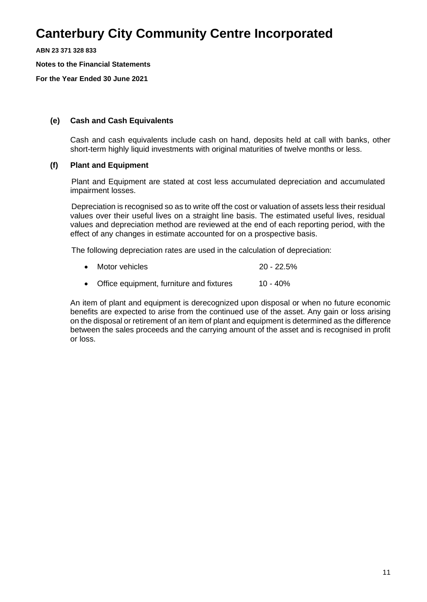**ABN 23 371 328 833**

**Notes to the Financial Statements**

**For the Year Ended 30 June 2021**

#### **(e) Cash and Cash Equivalents**

Cash and cash equivalents include cash on hand, deposits held at call with banks, other short-term highly liquid investments with original maturities of twelve months or less.

#### **(f) Plant and Equipment**

Plant and Equipment are stated at cost less accumulated depreciation and accumulated impairment losses.

Depreciation is recognised so as to write off the cost or valuation of assets less their residual values over their useful lives on a straight line basis. The estimated useful lives, residual values and depreciation method are reviewed at the end of each reporting period, with the effect of any changes in estimate accounted for on a prospective basis.

The following depreciation rates are used in the calculation of depreciation:

- Motor vehicles 20 22.5%
- Office equipment, furniture and fixtures 10 40%

An item of plant and equipment is derecognized upon disposal or when no future economic benefits are expected to arise from the continued use of the asset. Any gain or loss arising on the disposal or retirement of an item of plant and equipment is determined as the difference between the sales proceeds and the carrying amount of the asset and is recognised in profit or loss.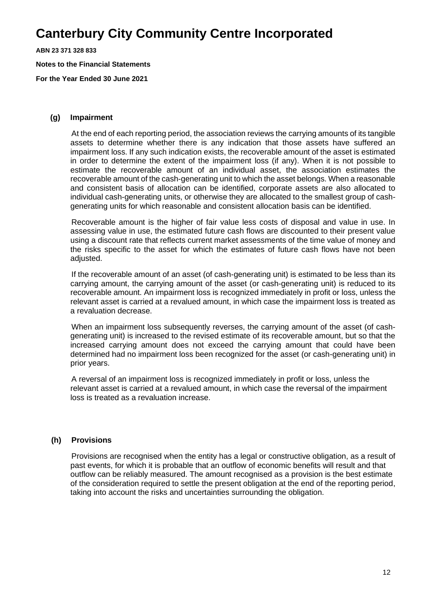**ABN 23 371 328 833**

**Notes to the Financial Statements**

**For the Year Ended 30 June 2021**

#### **(g) Impairment**

At the end of each reporting period, the association reviews the carrying amounts of its tangible assets to determine whether there is any indication that those assets have suffered an impairment loss. If any such indication exists, the recoverable amount of the asset is estimated in order to determine the extent of the impairment loss (if any). When it is not possible to estimate the recoverable amount of an individual asset, the association estimates the recoverable amount of the cash-generating unit to which the asset belongs. When a reasonable and consistent basis of allocation can be identified, corporate assets are also allocated to individual cash-generating units, or otherwise they are allocated to the smallest group of cashgenerating units for which reasonable and consistent allocation basis can be identified.

Recoverable amount is the higher of fair value less costs of disposal and value in use. In assessing value in use, the estimated future cash flows are discounted to their present value using a discount rate that reflects current market assessments of the time value of money and the risks specific to the asset for which the estimates of future cash flows have not been adjusted.

If the recoverable amount of an asset (of cash-generating unit) is estimated to be less than its carrying amount, the carrying amount of the asset (or cash-generating unit) is reduced to its recoverable amount. An impairment loss is recognized immediately in profit or loss, unless the relevant asset is carried at a revalued amount, in which case the impairment loss is treated as a revaluation decrease.

When an impairment loss subsequently reverses, the carrying amount of the asset (of cashgenerating unit) is increased to the revised estimate of its recoverable amount, but so that the increased carrying amount does not exceed the carrying amount that could have been determined had no impairment loss been recognized for the asset (or cash-generating unit) in prior years.

A reversal of an impairment loss is recognized immediately in profit or loss, unless the relevant asset is carried at a revalued amount, in which case the reversal of the impairment loss is treated as a revaluation increase.

#### **(h) Provisions**

Provisions are recognised when the entity has a legal or constructive obligation, as a result of past events, for which it is probable that an outflow of economic benefits will result and that outflow can be reliably measured. The amount recognised as a provision is the best estimate of the consideration required to settle the present obligation at the end of the reporting period, taking into account the risks and uncertainties surrounding the obligation.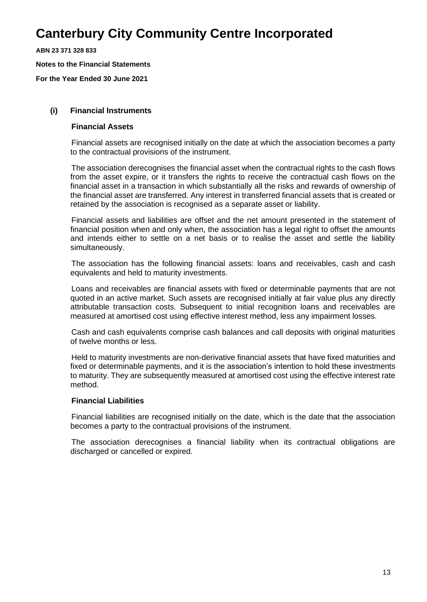**ABN 23 371 328 833**

**Notes to the Financial Statements**

**For the Year Ended 30 June 2021**

#### **(i) Financial Instruments**

#### **Financial Assets**

Financial assets are recognised initially on the date at which the association becomes a party to the contractual provisions of the instrument.

The association derecognises the financial asset when the contractual rights to the cash flows from the asset expire, or it transfers the rights to receive the contractual cash flows on the financial asset in a transaction in which substantially all the risks and rewards of ownership of the financial asset are transferred. Any interest in transferred financial assets that is created or retained by the association is recognised as a separate asset or liability.

Financial assets and liabilities are offset and the net amount presented in the statement of financial position when and only when, the association has a legal right to offset the amounts and intends either to settle on a net basis or to realise the asset and settle the liability simultaneously.

The association has the following financial assets: loans and receivables, cash and cash equivalents and held to maturity investments.

Loans and receivables are financial assets with fixed or determinable payments that are not quoted in an active market. Such assets are recognised initially at fair value plus any directly attributable transaction costs. Subsequent to initial recognition loans and receivables are measured at amortised cost using effective interest method, less any impairment losses.

Cash and cash equivalents comprise cash balances and call deposits with original maturities of twelve months or less.

Held to maturity investments are non-derivative financial assets that have fixed maturities and fixed or determinable payments, and it is the association's intention to hold these investments to maturity. They are subsequently measured at amortised cost using the effective interest rate method.

#### **Financial Liabilities**

Financial liabilities are recognised initially on the date, which is the date that the association becomes a party to the contractual provisions of the instrument.

The association derecognises a financial liability when its contractual obligations are discharged or cancelled or expired.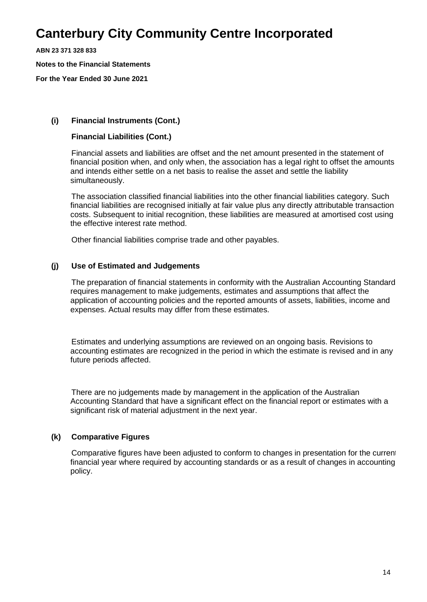**ABN 23 371 328 833**

**Notes to the Financial Statements**

**For the Year Ended 30 June 2021**

#### **(i) Financial Instruments (Cont.)**

#### **Financial Liabilities (Cont.)**

Financial assets and liabilities are offset and the net amount presented in the statement of financial position when, and only when, the association has a legal right to offset the amounts and intends either settle on a net basis to realise the asset and settle the liability simultaneously.

The association classified financial liabilities into the other financial liabilities category. Such financial liabilities are recognised initially at fair value plus any directly attributable transaction costs. Subsequent to initial recognition, these liabilities are measured at amortised cost using the effective interest rate method.

Other financial liabilities comprise trade and other payables.

#### **(j) Use of Estimated and Judgements**

The preparation of financial statements in conformity with the Australian Accounting Standard requires management to make judgements, estimates and assumptions that affect the application of accounting policies and the reported amounts of assets, liabilities, income and expenses. Actual results may differ from these estimates.

Estimates and underlying assumptions are reviewed on an ongoing basis. Revisions to accounting estimates are recognized in the period in which the estimate is revised and in any future periods affected.

There are no judgements made by management in the application of the Australian Accounting Standard that have a significant effect on the financial report or estimates with a significant risk of material adjustment in the next year.

#### **(k) Comparative Figures**

Comparative figures have been adjusted to conform to changes in presentation for the current financial year where required by accounting standards or as a result of changes in accounting policy.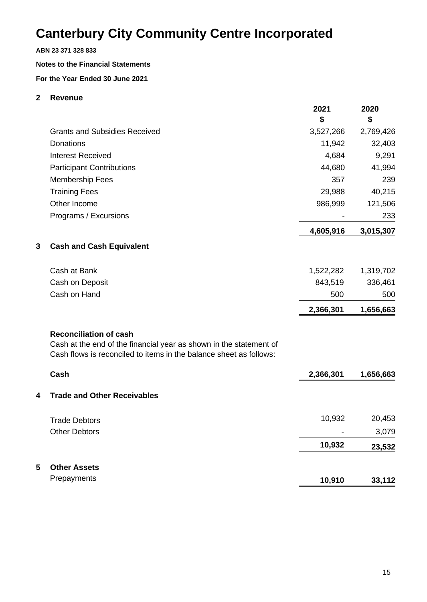#### **ABN 23 371 328 833**

#### **Notes to the Financial Statements**

#### **For the Year Ended 30 June 2021**

#### **2 Revenue**

|                                                                                                                                                                           | 2021<br>\$ | 2020<br>\$ |
|---------------------------------------------------------------------------------------------------------------------------------------------------------------------------|------------|------------|
| <b>Grants and Subsidies Received</b>                                                                                                                                      | 3,527,266  | 2,769,426  |
| <b>Donations</b>                                                                                                                                                          | 11,942     | 32,403     |
| <b>Interest Received</b>                                                                                                                                                  | 4,684      | 9,291      |
| <b>Participant Contributions</b>                                                                                                                                          | 44,680     | 41,994     |
| <b>Membership Fees</b>                                                                                                                                                    | 357        | 239        |
| <b>Training Fees</b>                                                                                                                                                      | 29,988     | 40,215     |
| Other Income                                                                                                                                                              | 986,999    | 121,506    |
| Programs / Excursions                                                                                                                                                     |            | 233        |
|                                                                                                                                                                           | 4,605,916  | 3,015,307  |
| 3<br><b>Cash and Cash Equivalent</b>                                                                                                                                      |            |            |
| Cash at Bank                                                                                                                                                              | 1,522,282  | 1,319,702  |
| Cash on Deposit                                                                                                                                                           | 843,519    | 336,461    |
| Cash on Hand                                                                                                                                                              | 500        | 500        |
|                                                                                                                                                                           | 2,366,301  | 1,656,663  |
| <b>Reconciliation of cash</b><br>Cash at the end of the financial year as shown in the statement of<br>Cash flows is reconciled to items in the balance sheet as follows: |            |            |
| Cash                                                                                                                                                                      | 2,366,301  | 1,656,663  |
| <b>Trade and Other Receivables</b><br>4                                                                                                                                   |            |            |
| <b>Trade Debtors</b>                                                                                                                                                      | 10,932     | 20,453     |
| <b>Other Debtors</b>                                                                                                                                                      |            | 3,079      |
|                                                                                                                                                                           | 10,932     | 23,532     |
| 5<br><b>Other Assets</b>                                                                                                                                                  |            |            |
| Prepayments                                                                                                                                                               | 10,910     | 33,112     |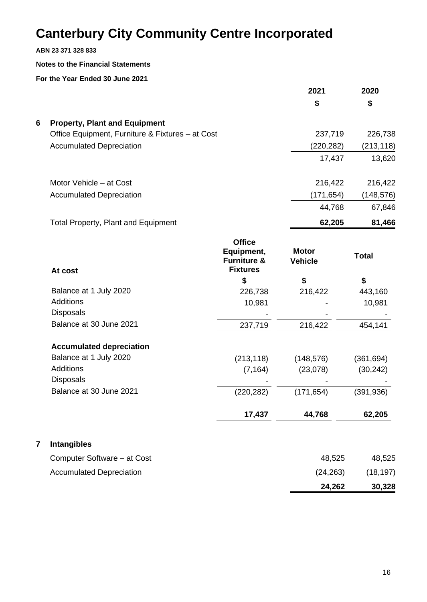**ABN 23 371 328 833**

#### **Notes to the Financial Statements**

**For the Year Ended 30 June 2021**

|   |                                                  | 2021       | 2020       |
|---|--------------------------------------------------|------------|------------|
|   |                                                  | \$         | \$         |
| 6 | <b>Property, Plant and Equipment</b>             |            |            |
|   | Office Equipment, Furniture & Fixtures – at Cost | 237,719    | 226,738    |
|   | <b>Accumulated Depreciation</b>                  | (220, 282) | (213, 118) |
|   |                                                  | 17,437     | 13,620     |
|   | Motor Vehicle - at Cost                          | 216,422    | 216,422    |
|   | <b>Accumulated Depreciation</b>                  | (171, 654) | (148, 576) |
|   |                                                  | 44,768     | 67,846     |
|   | <b>Total Property, Plant and Equipment</b>       | 62,205     | 81,466     |

|   | At cost                         | <b>Office</b><br>Equipment,<br><b>Furniture &amp;</b><br><b>Fixtures</b> | <b>Motor</b><br><b>Vehicle</b> | <b>Total</b> |
|---|---------------------------------|--------------------------------------------------------------------------|--------------------------------|--------------|
|   |                                 | \$                                                                       | \$                             | \$           |
|   | Balance at 1 July 2020          | 226,738                                                                  | 216,422                        | 443,160      |
|   | <b>Additions</b>                | 10,981                                                                   |                                | 10,981       |
|   | <b>Disposals</b>                |                                                                          |                                |              |
|   | Balance at 30 June 2021         | 237,719                                                                  | 216,422                        | 454,141      |
|   | <b>Accumulated depreciation</b> |                                                                          |                                |              |
|   | Balance at 1 July 2020          | (213, 118)                                                               | (148, 576)                     | (361, 694)   |
|   | <b>Additions</b>                | (7, 164)                                                                 | (23,078)                       | (30, 242)    |
|   | <b>Disposals</b>                |                                                                          |                                |              |
|   | Balance at 30 June 2021         | (220, 282)                                                               | (171, 654)                     | (391,936)    |
|   |                                 | 17,437                                                                   | 44,768                         | 62,205       |
| 7 | <b>Intangibles</b>              |                                                                          |                                |              |
|   | Computer Software – at Cost     |                                                                          | 48,525                         | 48,525       |
|   | <b>Accumulated Depreciation</b> |                                                                          | (24,263)                       | (18, 197)    |

**24,262 30,328**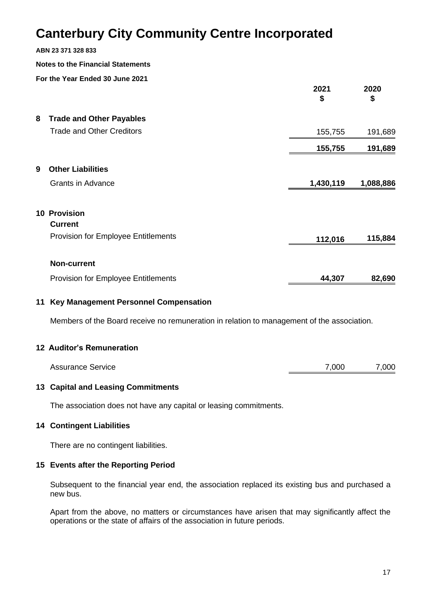#### **ABN 23 371 328 833**

#### **Notes to the Financial Statements**

**For the Year Ended 30 June 2021**

|   |                                            | 2021<br>\$ | 2020<br>\$ |
|---|--------------------------------------------|------------|------------|
| 8 | <b>Trade and Other Payables</b>            |            |            |
|   | <b>Trade and Other Creditors</b>           | 155,755    | 191,689    |
|   |                                            | 155,755    | 191,689    |
| 9 | <b>Other Liabilities</b>                   |            |            |
|   | <b>Grants in Advance</b>                   | 1,430,119  | 1,088,886  |
|   | <b>10 Provision</b>                        |            |            |
|   | <b>Current</b>                             |            |            |
|   | <b>Provision for Employee Entitlements</b> | 112,016    | 115,884    |
|   | <b>Non-current</b>                         |            |            |
|   | <b>Provision for Employee Entitlements</b> | 44,307     | 82,690     |

#### **11 Key Management Personnel Compensation**

Members of the Board receive no remuneration in relation to management of the association.

#### **12 Auditor's Remuneration**

| <b>Assurance Service</b> | 7,000 | 7,000 |
|--------------------------|-------|-------|
|                          |       |       |

#### **13 Capital and Leasing Commitments**

The association does not have any capital or leasing commitments.

#### **14 Contingent Liabilities**

There are no contingent liabilities.

#### **15 Events after the Reporting Period**

Subsequent to the financial year end, the association replaced its existing bus and purchased a new bus.

Apart from the above, no matters or circumstances have arisen that may significantly affect the operations or the state of affairs of the association in future periods.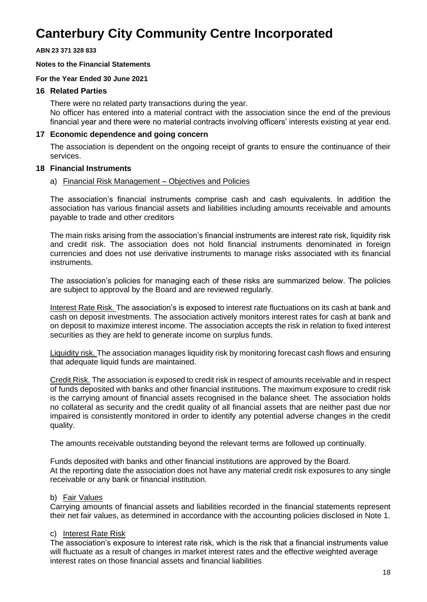#### **ABN 23 371 328 833**

#### **Notes to the Financial Statements**

#### **For the Year Ended 30 June 2021**

#### **16 Related Parties**

There were no related party transactions during the year. No officer has entered into a material contract with the association since the end of the previous financial year and there were no material contracts involving officers' interests existing at year end.

#### **17 Economic dependence and going concern**

The association is dependent on the ongoing receipt of grants to ensure the continuance of their services.

#### **18 Financial Instruments**

#### a) Financial Risk Management – Objectives and Policies

The association's financial instruments comprise cash and cash equivalents. In addition the association has various financial assets and liabilities including amounts receivable and amounts payable to trade and other creditors

The main risks arising from the association's financial instruments are interest rate risk, liquidity risk and credit risk. The association does not hold financial instruments denominated in foreign currencies and does not use derivative instruments to manage risks associated with its financial instruments.

The association's policies for managing each of these risks are summarized below. The policies are subject to approval by the Board and are reviewed regularly.

Interest Rate Risk. The association's is exposed to interest rate fluctuations on its cash at bank and cash on deposit investments. The association actively monitors interest rates for cash at bank and on deposit to maximize interest income. The association accepts the risk in relation to fixed interest securities as they are held to generate income on surplus funds.

Liquidity risk. The association manages liquidity risk by monitoring forecast cash flows and ensuring that adequate liquid funds are maintained.

Credit Risk. The association is exposed to credit risk in respect of amounts receivable and in respect of funds deposited with banks and other financial institutions. The maximum exposure to credit risk is the carrying amount of financial assets recognised in the balance sheet. The association holds no collateral as security and the credit quality of all financial assets that are neither past due nor impaired is consistently monitored in order to identify any potential adverse changes in the credit quality.

The amounts receivable outstanding beyond the relevant terms are followed up continually.

Funds deposited with banks and other financial institutions are approved by the Board. At the reporting date the association does not have any material credit risk exposures to any single receivable or any bank or financial institution.

#### b) Fair Values

Carrying amounts of financial assets and liabilities recorded in the financial statements represent their net fair values, as determined in accordance with the accounting policies disclosed in Note 1.

#### c) Interest Rate Risk

The association's exposure to interest rate risk, which is the risk that a financial instruments value will fluctuate as a result of changes in market interest rates and the effective weighted average interest rates on those financial assets and financial liabilities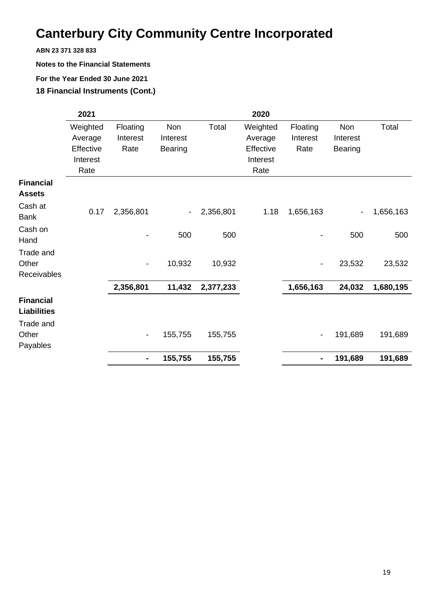**ABN 23 371 328 833**

**Notes to the Financial Statements**

#### **For the Year Ended 30 June 2021**

**18 Financial Instruments (Cont.)**

|                                        | 2021      |                              |                          |           | 2020      |                          |                          |           |
|----------------------------------------|-----------|------------------------------|--------------------------|-----------|-----------|--------------------------|--------------------------|-----------|
|                                        | Weighted  | Floating                     | Non                      | Total     | Weighted  | Floating                 | Non                      | Total     |
|                                        | Average   | Interest                     | Interest                 |           | Average   | Interest                 | Interest                 |           |
|                                        | Effective | Rate                         | <b>Bearing</b>           |           | Effective | Rate                     | <b>Bearing</b>           |           |
|                                        | Interest  |                              |                          |           | Interest  |                          |                          |           |
|                                        | Rate      |                              |                          |           | Rate      |                          |                          |           |
| <b>Financial</b><br><b>Assets</b>      |           |                              |                          |           |           |                          |                          |           |
| Cash at<br>Bank                        | 0.17      | 2,356,801                    | $\overline{\phantom{a}}$ | 2,356,801 | 1.18      | 1,656,163                | $\overline{\phantom{a}}$ | 1,656,163 |
| Cash on<br>Hand                        |           |                              | 500                      | 500       |           |                          | 500                      | 500       |
| Trade and                              |           |                              |                          |           |           |                          |                          |           |
| Other                                  |           | $\overline{\phantom{a}}$     | 10,932                   | 10,932    |           |                          | 23,532                   | 23,532    |
| Receivables                            |           |                              |                          |           |           |                          |                          |           |
|                                        |           | 2,356,801                    | 11,432                   | 2,377,233 |           | 1,656,163                | 24,032                   | 1,680,195 |
| <b>Financial</b><br><b>Liabilities</b> |           |                              |                          |           |           |                          |                          |           |
| Trade and                              |           |                              |                          |           |           |                          |                          |           |
| Other<br>Payables                      |           | $\qquad \qquad \blacksquare$ | 155,755                  | 155,755   |           | $\overline{\phantom{a}}$ | 191,689                  | 191,689   |
|                                        |           | $\blacksquare$               | 155,755                  | 155,755   |           |                          | 191,689                  | 191,689   |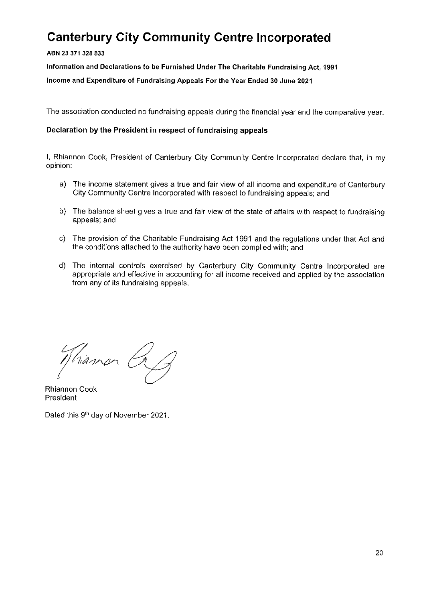ABN 23 371 328 833

Information and Declarations to be Furnished Under The Charitable Fundraising Act, 1991

Income and Expenditure of Fundraising Appeals For the Year Ended 30 June 2021

The association conducted no fundraising appeals during the financial year and the comparative year.

#### Declaration by the President in respect of fundraising appeals

I, Rhiannon Cook, President of Canterbury City Community Centre Incorporated declare that, in my opinion:

- a) The income statement gives a true and fair view of all income and expenditure of Canterbury City Community Centre Incorporated with respect to fundraising appeals: and
- b) The balance sheet gives a true and fair view of the state of affairs with respect to fundraising appeals; and
- c) The provision of the Charitable Fundraising Act 1991 and the regulations under that Act and the conditions attached to the authority have been complied with; and
- d) The internal controls exercised by Canterbury City Community Centre Incorporated are appropriate and effective in accounting for all income received and applied by the association from any of its fundraising appeals.

hiamon Ca

**Rhiannon Cook** President

Dated this 9th day of November 2021.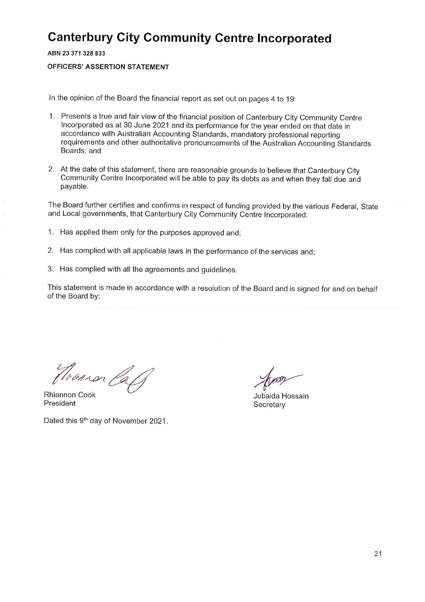ABN 23 371 328 833

#### **OFFICERS' ASSERTION STATEMENT**

In the opinion of the Board the financial report as set out on pages 4 to 19:

- 1. Presents a true and fair view of the financial position of Canterbury City Community Centre Incorporated as at 30 June 2021 and its performance for the year ended on that date in accordance with Australian Accounting Standards, mandatory professional reporting requirements and other authoritative pronouncements of the Australian Accounting Standards Boards; and
- 2. At the date of this statement, there are reasonable grounds to believe that Canterbury City Community Centre Incorporated will be able to pay its debts as and when they fall due and payable.

The Board further certifies and confirms in respect of funding provided by the various Federal, State and Local governments, that Canterbury City Community Centre Incorporated:

- 1. Has applied them only for the purposes approved and;
- 2. Has complied with all applicable laws in the performance of the services and;
- 3. Has complied with all the agreements and guidelines.

This statement is made in accordance with a resolution of the Board and is signed for and on behalf of the Board by:

Firanson Caff

**Rhiannon Cook** President

Dated this 9th day of November 2021.

om

Jubaida Hossain Secretary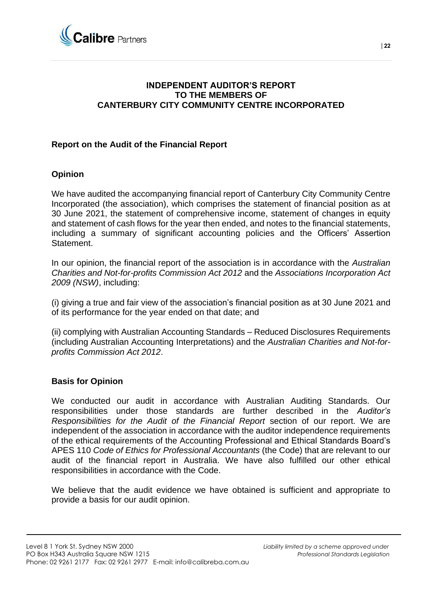

### **INDEPENDENT AUDITOR'S REPORT TO THE MEMBERS OF CANTERBURY CITY COMMUNITY CENTRE INCORPORATED**

### **Report on the Audit of the Financial Report**

### **Opinion**

We have audited the accompanying financial report of Canterbury City Community Centre Incorporated (the association), which comprises the statement of financial position as at 30 June 2021, the statement of comprehensive income, statement of changes in equity and statement of cash flows for the year then ended, and notes to the financial statements, including a summary of significant accounting policies and the Officers' Assertion **Statement** 

In our opinion, the financial report of the association is in accordance with the *Australian Charities and Not-for-profits Commission Act 2012* and the *Associations Incorporation Act 2009 (NSW)*, including:

(i) giving a true and fair view of the association's financial position as at 30 June 2021 and of its performance for the year ended on that date; and

(ii) complying with Australian Accounting Standards – Reduced Disclosures Requirements (including Australian Accounting Interpretations) and the *Australian Charities and Not-forprofits Commission Act 2012*.

#### **Basis for Opinion**

We conducted our audit in accordance with Australian Auditing Standards. Our responsibilities under those standards are further described in the *Auditor's Responsibilities for the Audit of the Financial Report* section of our report. We are independent of the association in accordance with the auditor independence requirements of the ethical requirements of the Accounting Professional and Ethical Standards Board's APES 110 *Code of Ethics for Professional Accountants* (the Code) that are relevant to our audit of the financial report in Australia. We have also fulfilled our other ethical responsibilities in accordance with the Code.

We believe that the audit evidence we have obtained is sufficient and appropriate to provide a basis for our audit opinion.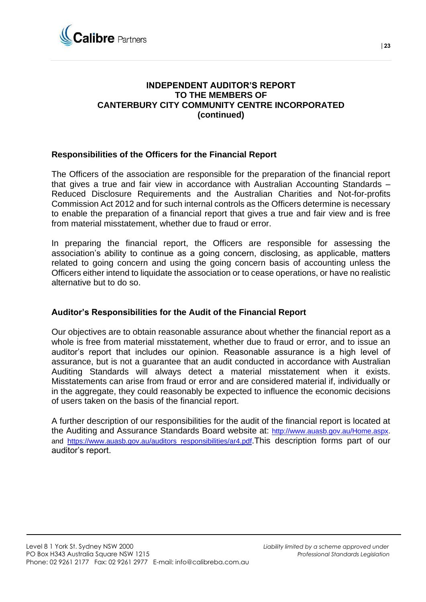

### **INDEPENDENT AUDITOR'S REPORT TO THE MEMBERS OF CANTERBURY CITY COMMUNITY CENTRE INCORPORATED (continued)**

#### **Responsibilities of the Officers for the Financial Report**

The Officers of the association are responsible for the preparation of the financial report that gives a true and fair view in accordance with Australian Accounting Standards – Reduced Disclosure Requirements and the Australian Charities and Not-for-profits Commission Act 2012 and for such internal controls as the Officers determine is necessary to enable the preparation of a financial report that gives a true and fair view and is free from material misstatement, whether due to fraud or error.

In preparing the financial report, the Officers are responsible for assessing the association's ability to continue as a going concern, disclosing, as applicable, matters related to going concern and using the going concern basis of accounting unless the Officers either intend to liquidate the association or to cease operations, or have no realistic alternative but to do so.

#### **Auditor's Responsibilities for the Audit of the Financial Report**

Our objectives are to obtain reasonable assurance about whether the financial report as a whole is free from material misstatement, whether due to fraud or error, and to issue an auditor's report that includes our opinion. Reasonable assurance is a high level of assurance, but is not a guarantee that an audit conducted in accordance with Australian Auditing Standards will always detect a material misstatement when it exists. Misstatements can arise from fraud or error and are considered material if, individually or in the aggregate, they could reasonably be expected to influence the economic decisions of users taken on the basis of the financial report.

A further description of our responsibilities for the audit of the financial report is located at the Auditing and Assurance Standards Board website at: [http://www.auasb.gov.au/Home.aspx.](http://www.auasb.gov.au/Home.aspx) and https://www.auasb.gov.au/auditors responsibilities/ar4.pdf. This description forms part of our auditor's report.